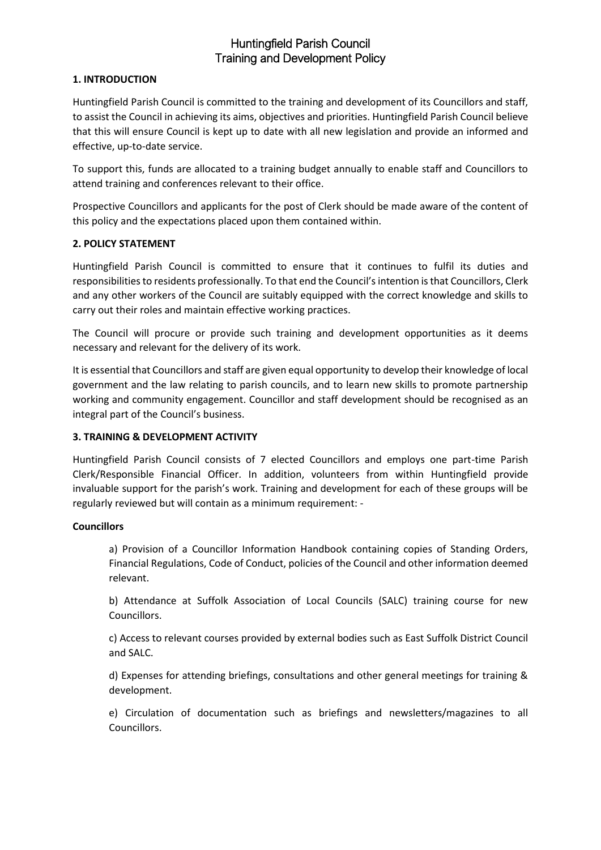# Huntingfield Parish Council Training and Development Policy

## **1. INTRODUCTION**

Huntingfield Parish Council is committed to the training and development of its Councillors and staff, to assist the Council in achieving its aims, objectives and priorities. Huntingfield Parish Council believe that this will ensure Council is kept up to date with all new legislation and provide an informed and effective, up-to-date service.

To support this, funds are allocated to a training budget annually to enable staff and Councillors to attend training and conferences relevant to their office.

Prospective Councillors and applicants for the post of Clerk should be made aware of the content of this policy and the expectations placed upon them contained within.

## **2. POLICY STATEMENT**

Huntingfield Parish Council is committed to ensure that it continues to fulfil its duties and responsibilities to residents professionally. To that end the Council's intention is that Councillors, Clerk and any other workers of the Council are suitably equipped with the correct knowledge and skills to carry out their roles and maintain effective working practices.

The Council will procure or provide such training and development opportunities as it deems necessary and relevant for the delivery of its work.

It is essential that Councillors and staff are given equal opportunity to develop their knowledge of local government and the law relating to parish councils, and to learn new skills to promote partnership working and community engagement. Councillor and staff development should be recognised as an integral part of the Council's business.

## **3. TRAINING & DEVELOPMENT ACTIVITY**

Huntingfield Parish Council consists of 7 elected Councillors and employs one part-time Parish Clerk/Responsible Financial Officer. In addition, volunteers from within Huntingfield provide invaluable support for the parish's work. Training and development for each of these groups will be regularly reviewed but will contain as a minimum requirement: -

#### **Councillors**

a) Provision of a Councillor Information Handbook containing copies of Standing Orders, Financial Regulations, Code of Conduct, policies of the Council and other information deemed relevant.

b) Attendance at Suffolk Association of Local Councils (SALC) training course for new Councillors.

c) Access to relevant courses provided by external bodies such as East Suffolk District Council and SALC.

d) Expenses for attending briefings, consultations and other general meetings for training & development.

e) Circulation of documentation such as briefings and newsletters/magazines to all Councillors.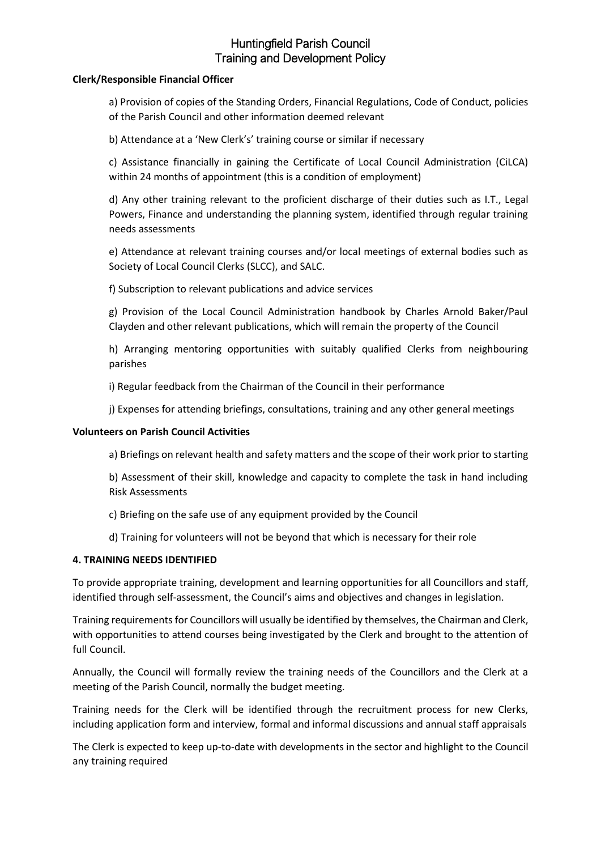# Huntingfield Parish Council Training and Development Policy

### **Clerk/Responsible Financial Officer**

a) Provision of copies of the Standing Orders, Financial Regulations, Code of Conduct, policies of the Parish Council and other information deemed relevant

b) Attendance at a 'New Clerk's' training course or similar if necessary

c) Assistance financially in gaining the Certificate of Local Council Administration (CiLCA) within 24 months of appointment (this is a condition of employment)

d) Any other training relevant to the proficient discharge of their duties such as I.T., Legal Powers, Finance and understanding the planning system, identified through regular training needs assessments

e) Attendance at relevant training courses and/or local meetings of external bodies such as Society of Local Council Clerks (SLCC), and SALC.

f) Subscription to relevant publications and advice services

g) Provision of the Local Council Administration handbook by Charles Arnold Baker/Paul Clayden and other relevant publications, which will remain the property of the Council

h) Arranging mentoring opportunities with suitably qualified Clerks from neighbouring parishes

i) Regular feedback from the Chairman of the Council in their performance

j) Expenses for attending briefings, consultations, training and any other general meetings

#### **Volunteers on Parish Council Activities**

a) Briefings on relevant health and safety matters and the scope of their work prior to starting

b) Assessment of their skill, knowledge and capacity to complete the task in hand including Risk Assessments

c) Briefing on the safe use of any equipment provided by the Council

d) Training for volunteers will not be beyond that which is necessary for their role

#### **4. TRAINING NEEDS IDENTIFIED**

To provide appropriate training, development and learning opportunities for all Councillors and staff, identified through self-assessment, the Council's aims and objectives and changes in legislation.

Training requirements for Councillors will usually be identified by themselves, the Chairman and Clerk, with opportunities to attend courses being investigated by the Clerk and brought to the attention of full Council.

Annually, the Council will formally review the training needs of the Councillors and the Clerk at a meeting of the Parish Council, normally the budget meeting.

Training needs for the Clerk will be identified through the recruitment process for new Clerks, including application form and interview, formal and informal discussions and annual staff appraisals

The Clerk is expected to keep up-to-date with developments in the sector and highlight to the Council any training required